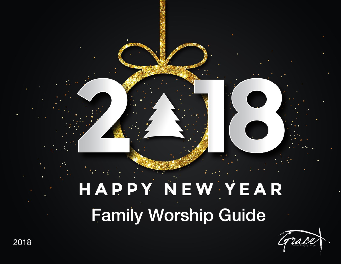# HAPPY NEW YEAR Family Worship Guide

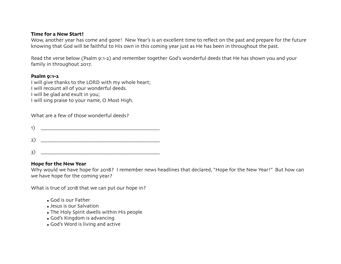#### **Time for a New Start!**

Wow, another year has come and gone! New Year's is an excellent time to reflect on the past and prepare for the future knowing that God will be faithful to His own in this coming year just as He has been in throughout the past.

Read the verse below (Psalm 9:1-2) and remember together God's wonderful deeds that He has shown you and your family in throughout 2017.

## **Psalm 9:1-2**

I will give thanks to the LORD with my whole heart; I will recount all of your wonderful deeds. I will be glad and exult in you; I will sing praise to your name, O Most High.

| What are a few of those wonderful deeds? |  |
|------------------------------------------|--|
|------------------------------------------|--|

| 1)           | $\mathbf{V}$ and $\mathbf{V}$ |
|--------------|-------------------------------|
|              |                               |
| $\mathsf{B}$ |                               |

# **Hope for the New Year**

Why would we have hope for 2018? I remember news headlines that declared, "Hope for the New Year!" But how can we have hope for the coming year?

What is true of 2018 that we can put our hope in?

- God is our Father
- Jesus is our Salvation
- The Holy Spirit dwells within His people
- God's Kingdom is advancing
- God's Word is living and active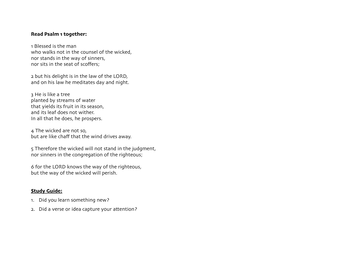### **Read Psalm 1 together:**

1 Blessed is the man who walks not in the counsel of the wicked, nor stands in the way of sinners, nor sits in the seat of scoffers;

2 but his delight is in the law of the LORD, and on his law he meditates day and night.

3 He is like a tree planted by streams of water that yields its fruit in its season, and its leaf does not wither. In all that he does, he prospers.

4 The wicked are not so, but are like chaff that the wind drives away.

5 Therefore the wicked will not stand in the judgment, nor sinners in the congregation of the righteous;

6 for the LORD knows the way of the righteous, but the way of the wicked will perish.

## **Study Guide:**

- 1. Did you learn something new?
- 2. Did a verse or idea capture your attention?